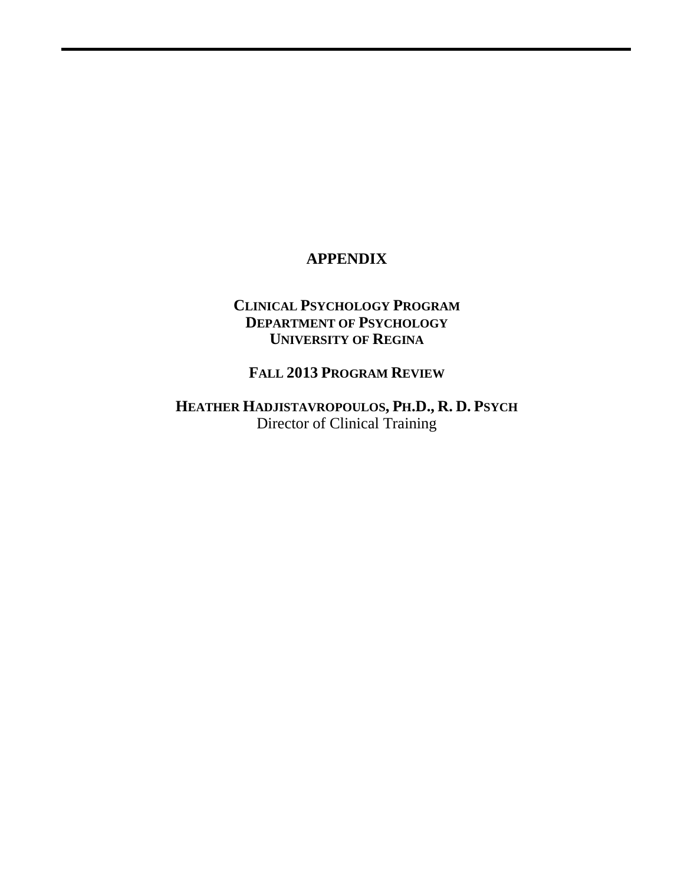# **APPENDIX**

# **CLINICAL PSYCHOLOGY PROGRAM DEPARTMENT OF PSYCHOLOGY UNIVERSITY OF REGINA**

# **FALL 2013 PROGRAM REVIEW**

**HEATHER HADJISTAVROPOULOS, PH.D., R. D. PSYCH** Director of Clinical Training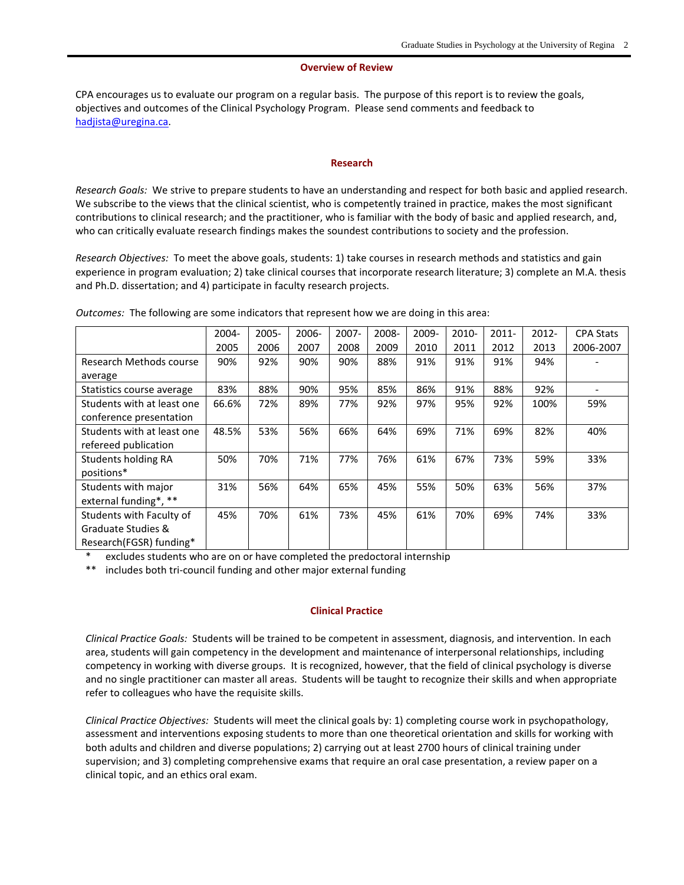#### **Overview of Review**

CPA encourages us to evaluate our program on a regular basis. The purpose of this report is to review the goals, objectives and outcomes of the Clinical Psychology Program. Please send comments and feedback to [hadjista@uregina.ca.](mailto:hadjista@uregina.ca)

#### **Research**

*Research Goals:* We strive to prepare students to have an understanding and respect for both basic and applied research. We subscribe to the views that the clinical scientist, who is competently trained in practice, makes the most significant contributions to clinical research; and the practitioner, who is familiar with the body of basic and applied research, and, who can critically evaluate research findings makes the soundest contributions to society and the profession.

*Research Objectives:* To meet the above goals, students: 1) take courses in research methods and statistics and gain experience in program evaluation; 2) take clinical courses that incorporate research literature; 3) complete an M.A. thesis and Ph.D. dissertation; and 4) participate in faculty research projects.

|                            | 2004- | $2005 -$ | 2006- | $2007 -$ | 2008- | 2009- | $2010 -$ | $2011 -$ | 2012- | <b>CPA Stats</b> |
|----------------------------|-------|----------|-------|----------|-------|-------|----------|----------|-------|------------------|
|                            | 2005  | 2006     | 2007  | 2008     | 2009  | 2010  | 2011     | 2012     | 2013  | 2006-2007        |
| Research Methods course    | 90%   | 92%      | 90%   | 90%      | 88%   | 91%   | 91%      | 91%      | 94%   |                  |
| average                    |       |          |       |          |       |       |          |          |       |                  |
| Statistics course average  | 83%   | 88%      | 90%   | 95%      | 85%   | 86%   | 91%      | 88%      | 92%   |                  |
| Students with at least one | 66.6% | 72%      | 89%   | 77%      | 92%   | 97%   | 95%      | 92%      | 100%  | 59%              |
| conference presentation    |       |          |       |          |       |       |          |          |       |                  |
| Students with at least one | 48.5% | 53%      | 56%   | 66%      | 64%   | 69%   | 71%      | 69%      | 82%   | 40%              |
| refereed publication       |       |          |       |          |       |       |          |          |       |                  |
| Students holding RA        | 50%   | 70%      | 71%   | 77%      | 76%   | 61%   | 67%      | 73%      | 59%   | 33%              |
| positions*                 |       |          |       |          |       |       |          |          |       |                  |
| Students with major        | 31%   | 56%      | 64%   | 65%      | 45%   | 55%   | 50%      | 63%      | 56%   | 37%              |
| external funding*, **      |       |          |       |          |       |       |          |          |       |                  |
| Students with Faculty of   | 45%   | 70%      | 61%   | 73%      | 45%   | 61%   | 70%      | 69%      | 74%   | 33%              |
| Graduate Studies &         |       |          |       |          |       |       |          |          |       |                  |
| Research(FGSR) funding*    |       |          |       |          |       |       |          |          |       |                  |

*Outcomes:* The following are some indicators that represent how we are doing in this area:

excludes students who are on or have completed the predoctoral internship

\*\* includes both tri-council funding and other major external funding

#### **Clinical Practice**

*Clinical Practice Goals:* Students will be trained to be competent in assessment, diagnosis, and intervention. In each area, students will gain competency in the development and maintenance of interpersonal relationships, including competency in working with diverse groups. It is recognized, however, that the field of clinical psychology is diverse and no single practitioner can master all areas. Students will be taught to recognize their skills and when appropriate refer to colleagues who have the requisite skills.

*Clinical Practice Objectives:* Students will meet the clinical goals by: 1) completing course work in psychopathology, assessment and interventions exposing students to more than one theoretical orientation and skills for working with both adults and children and diverse populations; 2) carrying out at least 2700 hours of clinical training under supervision; and 3) completing comprehensive exams that require an oral case presentation, a review paper on a clinical topic, and an ethics oral exam.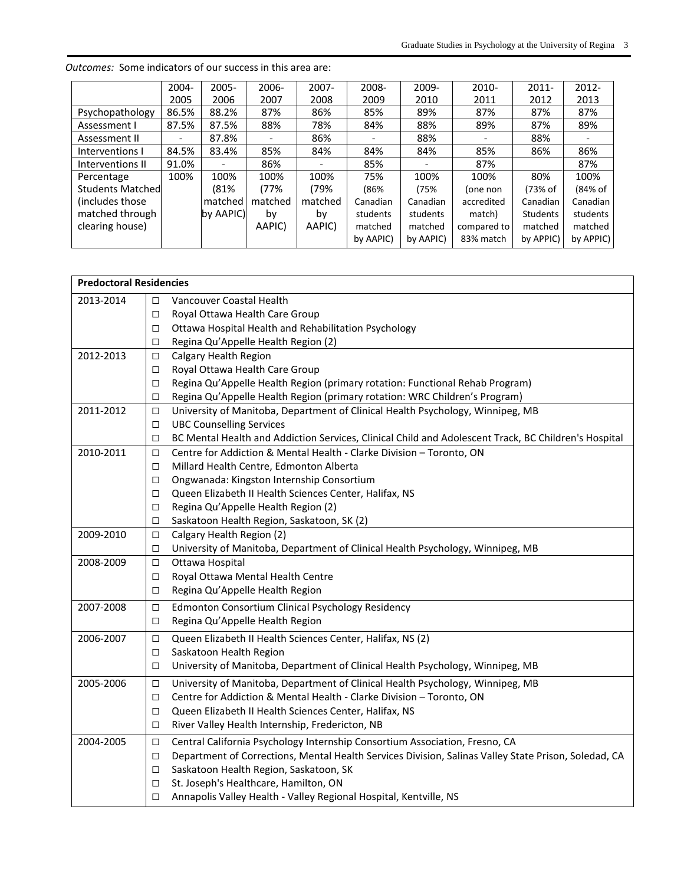|                         | $2004 -$ | $2005 -$  | 2006-   | $2007 -$                 | 2008-     | 2009-     | 2010-       | $2011 -$        | $2012 -$  |
|-------------------------|----------|-----------|---------|--------------------------|-----------|-----------|-------------|-----------------|-----------|
|                         | 2005     | 2006      | 2007    | 2008                     | 2009      | 2010      | 2011        | 2012            | 2013      |
| Psychopathology         | 86.5%    | 88.2%     | 87%     | 86%                      | 85%       | 89%       | 87%         | 87%             | 87%       |
| Assessment I            | 87.5%    | 87.5%     | 88%     | 78%                      | 84%       | 88%       | 89%         | 87%             | 89%       |
| Assessment II           |          | 87.8%     |         | 86%                      |           | 88%       |             | 88%             |           |
| Interventions I         | 84.5%    | 83.4%     | 85%     | 84%                      | 84%       | 84%       | 85%         | 86%             | 86%       |
| Interventions II        | 91.0%    |           | 86%     | $\overline{\phantom{0}}$ | 85%       |           | 87%         |                 | 87%       |
| Percentage              | 100%     | 100%      | 100%    | 100%                     | 75%       | 100%      | 100%        | 80%             | 100%      |
| <b>Students Matched</b> |          | (81%      | (77%    | (79%                     | (86%      | (75%      | (one non    | (73% of         | (84% of   |
| (includes those)        |          | matched   | matched | matched                  | Canadian  | Canadian  | accredited  | Canadian        | Canadian  |
| matched through         |          | by AAPIC) | by      | b٧                       | students  | students  | match)      | <b>Students</b> | students  |
| clearing house)         |          |           | AAPIC)  | AAPIC)                   | matched   | matched   | compared to | matched         | matched   |
|                         |          |           |         |                          | by AAPIC) | by AAPIC) | 83% match   | by APPIC)       | by APPIC) |

*Outcomes:* Some indicators of our success in this area are:

 $\mathsf I$ 

| <b>Predoctoral Residencies</b> |        |                                                                                                      |
|--------------------------------|--------|------------------------------------------------------------------------------------------------------|
| 2013-2014                      | п      | Vancouver Coastal Health                                                                             |
|                                | □      | Royal Ottawa Health Care Group                                                                       |
|                                | □      | Ottawa Hospital Health and Rehabilitation Psychology                                                 |
|                                | □      | Regina Qu'Appelle Health Region (2)                                                                  |
| 2012-2013                      | □      | Calgary Health Region                                                                                |
|                                | □      | Royal Ottawa Health Care Group                                                                       |
|                                | □      | Regina Qu'Appelle Health Region (primary rotation: Functional Rehab Program)                         |
|                                | □      | Regina Qu'Appelle Health Region (primary rotation: WRC Children's Program)                           |
| 2011-2012                      | □      | University of Manitoba, Department of Clinical Health Psychology, Winnipeg, MB                       |
|                                | □      | <b>UBC Counselling Services</b>                                                                      |
|                                | □      | BC Mental Health and Addiction Services, Clinical Child and Adolescent Track, BC Children's Hospital |
| 2010-2011                      | □      | Centre for Addiction & Mental Health - Clarke Division - Toronto, ON                                 |
|                                | □      | Millard Health Centre, Edmonton Alberta                                                              |
|                                | □      | Ongwanada: Kingston Internship Consortium                                                            |
|                                | □      | Queen Elizabeth II Health Sciences Center, Halifax, NS                                               |
|                                | □      | Regina Qu'Appelle Health Region (2)                                                                  |
|                                | □      | Saskatoon Health Region, Saskatoon, SK (2)                                                           |
| 2009-2010                      | □      | Calgary Health Region (2)                                                                            |
|                                | □      | University of Manitoba, Department of Clinical Health Psychology, Winnipeg, MB                       |
| 2008-2009                      | $\Box$ | Ottawa Hospital                                                                                      |
|                                | □      | Royal Ottawa Mental Health Centre                                                                    |
|                                | □      | Regina Qu'Appelle Health Region                                                                      |
| 2007-2008                      | $\Box$ | Edmonton Consortium Clinical Psychology Residency                                                    |
|                                | □      | Regina Qu'Appelle Health Region                                                                      |
| 2006-2007                      | $\Box$ | Queen Elizabeth II Health Sciences Center, Halifax, NS (2)                                           |
|                                | □      | Saskatoon Health Region                                                                              |
|                                | □      | University of Manitoba, Department of Clinical Health Psychology, Winnipeg, MB                       |
| 2005-2006                      | □      | University of Manitoba, Department of Clinical Health Psychology, Winnipeg, MB                       |
|                                | □      | Centre for Addiction & Mental Health - Clarke Division - Toronto, ON                                 |
|                                | □      | Queen Elizabeth II Health Sciences Center, Halifax, NS                                               |
|                                | □      | River Valley Health Internship, Fredericton, NB                                                      |
| 2004-2005                      | □      | Central California Psychology Internship Consortium Association, Fresno, CA                          |
|                                | □      | Department of Corrections, Mental Health Services Division, Salinas Valley State Prison, Soledad, CA |
|                                | □      | Saskatoon Health Region, Saskatoon, SK                                                               |
|                                | □      | St. Joseph's Healthcare, Hamilton, ON                                                                |
|                                | □      | Annapolis Valley Health - Valley Regional Hospital, Kentville, NS                                    |
|                                |        |                                                                                                      |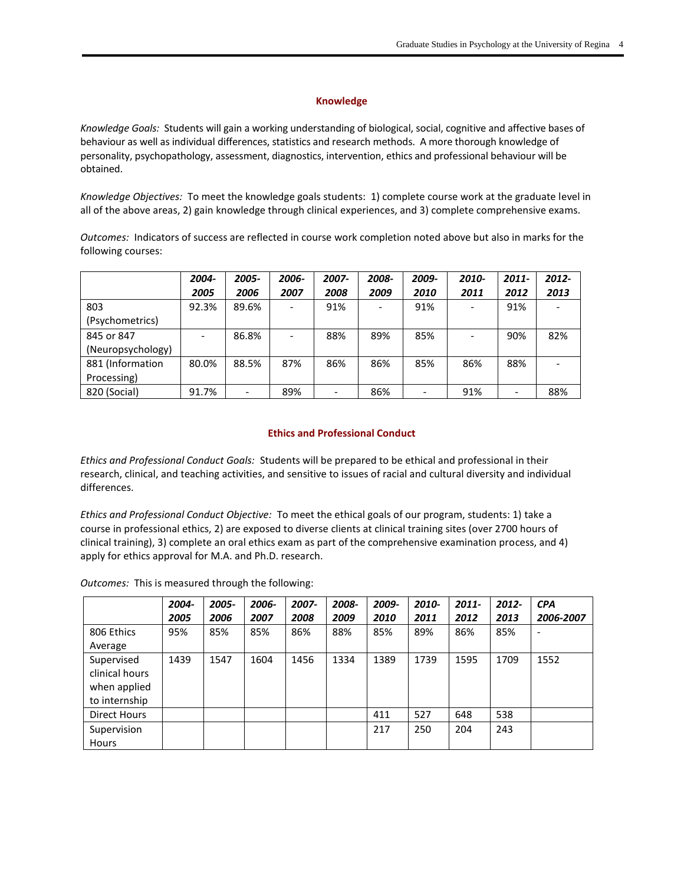## **Knowledge**

*Knowledge Goals:* Students will gain a working understanding of biological, social, cognitive and affective bases of behaviour as well as individual differences, statistics and research methods. A more thorough knowledge of personality, psychopathology, assessment, diagnostics, intervention, ethics and professional behaviour will be obtained.

*Knowledge Objectives:* To meet the knowledge goals students: 1) complete course work at the graduate level in all of the above areas, 2) gain knowledge through clinical experiences, and 3) complete comprehensive exams.

*Outcomes:* Indicators of success are reflected in course work completion noted above but also in marks for the following courses:

|                   | 2004- | 2005- | 2006- | 2007- | 2008- | 2009- | 2010- | $2011 -$ | 2012- |
|-------------------|-------|-------|-------|-------|-------|-------|-------|----------|-------|
|                   | 2005  | 2006  | 2007  | 2008  | 2009  | 2010  | 2011  | 2012     | 2013  |
| 803               | 92.3% | 89.6% |       | 91%   |       | 91%   |       | 91%      |       |
| (Psychometrics)   |       |       |       |       |       |       |       |          |       |
| 845 or 847        |       | 86.8% |       | 88%   | 89%   | 85%   |       | 90%      | 82%   |
| (Neuropsychology) |       |       |       |       |       |       |       |          |       |
| 881 (Information  | 80.0% | 88.5% | 87%   | 86%   | 86%   | 85%   | 86%   | 88%      |       |
| Processing)       |       |       |       |       |       |       |       |          |       |
| 820 (Social)      | 91.7% |       | 89%   |       | 86%   |       | 91%   |          | 88%   |

### **Ethics and Professional Conduct**

*Ethics and Professional Conduct Goals:* Students will be prepared to be ethical and professional in their research, clinical, and teaching activities, and sensitive to issues of racial and cultural diversity and individual differences.

*Ethics and Professional Conduct Objective:* To meet the ethical goals of our program, students: 1) take a course in professional ethics, 2) are exposed to diverse clients at clinical training sites (over 2700 hours of clinical training), 3) complete an oral ethics exam as part of the comprehensive examination process, and 4) apply for ethics approval for M.A. and Ph.D. research.

*Outcomes:* This is measured through the following:

|                     | 2004- | 2005- | 2006- | 2007- | 2008- | 2009- | 2010- | $2011 -$ | 2012- | <b>CPA</b> |
|---------------------|-------|-------|-------|-------|-------|-------|-------|----------|-------|------------|
|                     | 2005  | 2006  | 2007  | 2008  | 2009  | 2010  | 2011  | 2012     | 2013  | 2006-2007  |
| 806 Ethics          | 95%   | 85%   | 85%   | 86%   | 88%   | 85%   | 89%   | 86%      | 85%   |            |
| Average             |       |       |       |       |       |       |       |          |       |            |
| Supervised          | 1439  | 1547  | 1604  | 1456  | 1334  | 1389  | 1739  | 1595     | 1709  | 1552       |
| clinical hours      |       |       |       |       |       |       |       |          |       |            |
| when applied        |       |       |       |       |       |       |       |          |       |            |
| to internship       |       |       |       |       |       |       |       |          |       |            |
| <b>Direct Hours</b> |       |       |       |       |       | 411   | 527   | 648      | 538   |            |
| Supervision         |       |       |       |       |       | 217   | 250   | 204      | 243   |            |
| <b>Hours</b>        |       |       |       |       |       |       |       |          |       |            |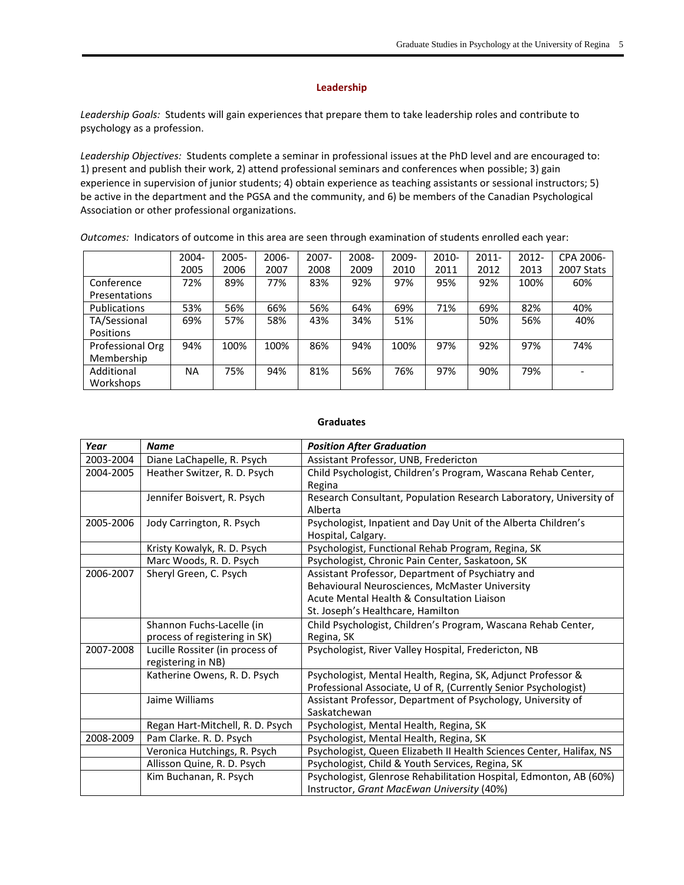## **Leadership**

*Leadership Goals:* Students will gain experiences that prepare them to take leadership roles and contribute to psychology as a profession.

*Leadership Objectives:* Students complete a seminar in professional issues at the PhD level and are encouraged to: 1) present and publish their work, 2) attend professional seminars and conferences when possible; 3) gain experience in supervision of junior students; 4) obtain experience as teaching assistants or sessional instructors; 5) be active in the department and the PGSA and the community, and 6) be members of the Canadian Psychological Association or other professional organizations.

*Outcomes:* Indicators of outcome in this area are seen through examination of students enrolled each year:

|                     | 2004- | 2005- | 2006- | 2007- | 2008- | 2009- | 2010- | $2011 -$ | $2012 -$ | CPA 2006-  |
|---------------------|-------|-------|-------|-------|-------|-------|-------|----------|----------|------------|
|                     | 2005  | 2006  | 2007  | 2008  | 2009  | 2010  | 2011  | 2012     | 2013     | 2007 Stats |
| Conference          | 72%   | 89%   | 77%   | 83%   | 92%   | 97%   | 95%   | 92%      | 100%     | 60%        |
| Presentations       |       |       |       |       |       |       |       |          |          |            |
| <b>Publications</b> | 53%   | 56%   | 66%   | 56%   | 64%   | 69%   | 71%   | 69%      | 82%      | 40%        |
| TA/Sessional        | 69%   | 57%   | 58%   | 43%   | 34%   | 51%   |       | 50%      | 56%      | 40%        |
| Positions           |       |       |       |       |       |       |       |          |          |            |
| Professional Org    | 94%   | 100%  | 100%  | 86%   | 94%   | 100%  | 97%   | 92%      | 97%      | 74%        |
| Membership          |       |       |       |       |       |       |       |          |          |            |
| Additional          | ΝA    | 75%   | 94%   | 81%   | 56%   | 76%   | 97%   | 90%      | 79%      |            |
| Workshops           |       |       |       |       |       |       |       |          |          |            |

#### **Graduates**

| Year      | <b>Name</b>                                           | <b>Position After Graduation</b>                                              |
|-----------|-------------------------------------------------------|-------------------------------------------------------------------------------|
| 2003-2004 | Diane LaChapelle, R. Psych                            | Assistant Professor, UNB, Fredericton                                         |
| 2004-2005 | Heather Switzer, R. D. Psych                          | Child Psychologist, Children's Program, Wascana Rehab Center,                 |
|           |                                                       | Regina                                                                        |
|           | Jennifer Boisvert, R. Psych                           | Research Consultant, Population Research Laboratory, University of<br>Alberta |
| 2005-2006 | Jody Carrington, R. Psych                             | Psychologist, Inpatient and Day Unit of the Alberta Children's                |
|           |                                                       | Hospital, Calgary.                                                            |
|           | Kristy Kowalyk, R. D. Psych                           | Psychologist, Functional Rehab Program, Regina, SK                            |
|           | Marc Woods, R. D. Psych                               | Psychologist, Chronic Pain Center, Saskatoon, SK                              |
| 2006-2007 | Sheryl Green, C. Psych                                | Assistant Professor, Department of Psychiatry and                             |
|           |                                                       | Behavioural Neurosciences, McMaster University                                |
|           |                                                       | Acute Mental Health & Consultation Liaison                                    |
|           |                                                       | St. Joseph's Healthcare, Hamilton                                             |
|           | Shannon Fuchs-Lacelle (in                             | Child Psychologist, Children's Program, Wascana Rehab Center,                 |
|           | process of registering in SK)                         | Regina, SK                                                                    |
| 2007-2008 | Lucille Rossiter (in process of<br>registering in NB) | Psychologist, River Valley Hospital, Fredericton, NB                          |
|           | Katherine Owens, R. D. Psych                          | Psychologist, Mental Health, Regina, SK, Adjunct Professor &                  |
|           |                                                       | Professional Associate, U of R, (Currently Senior Psychologist)               |
|           | Jaime Williams                                        | Assistant Professor, Department of Psychology, University of                  |
|           |                                                       | Saskatchewan                                                                  |
|           | Regan Hart-Mitchell, R. D. Psych                      | Psychologist, Mental Health, Regina, SK                                       |
| 2008-2009 | Pam Clarke. R. D. Psych                               | Psychologist, Mental Health, Regina, SK                                       |
|           | Veronica Hutchings, R. Psych                          | Psychologist, Queen Elizabeth II Health Sciences Center, Halifax, NS          |
|           | Allisson Quine, R. D. Psych                           | Psychologist, Child & Youth Services, Regina, SK                              |
|           | Kim Buchanan, R. Psych                                | Psychologist, Glenrose Rehabilitation Hospital, Edmonton, AB (60%)            |
|           |                                                       | Instructor, Grant MacEwan University (40%)                                    |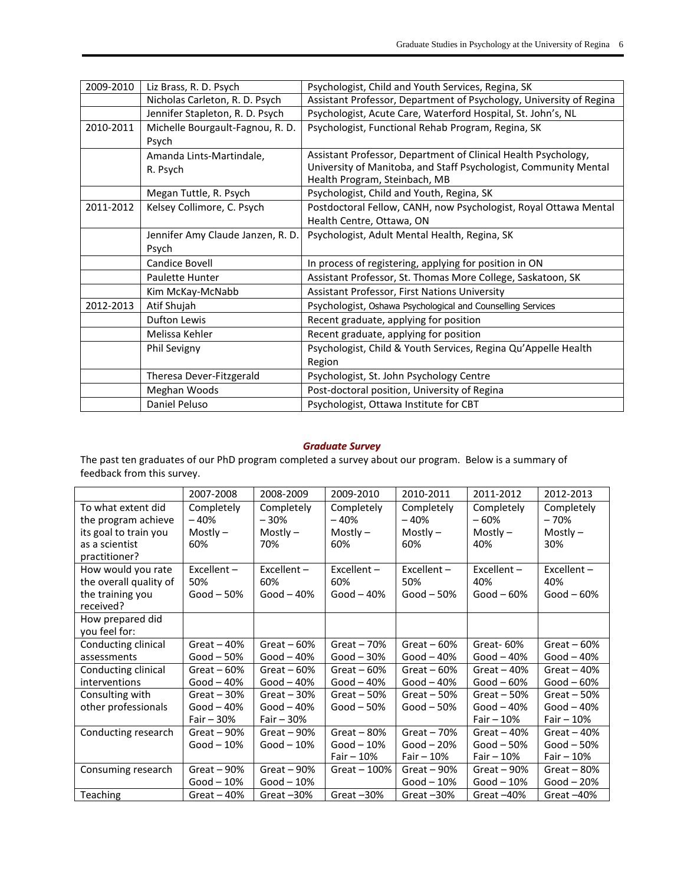| 2009-2010 | Liz Brass, R. D. Psych            | Psychologist, Child and Youth Services, Regina, SK                  |
|-----------|-----------------------------------|---------------------------------------------------------------------|
|           | Nicholas Carleton, R. D. Psych    | Assistant Professor, Department of Psychology, University of Regina |
|           | Jennifer Stapleton, R. D. Psych   | Psychologist, Acute Care, Waterford Hospital, St. John's, NL        |
| 2010-2011 | Michelle Bourgault-Fagnou, R. D.  | Psychologist, Functional Rehab Program, Regina, SK                  |
|           | Psych                             |                                                                     |
|           | Amanda Lints-Martindale,          | Assistant Professor, Department of Clinical Health Psychology,      |
|           | R. Psych                          | University of Manitoba, and Staff Psychologist, Community Mental    |
|           |                                   | Health Program, Steinbach, MB                                       |
|           | Megan Tuttle, R. Psych            | Psychologist, Child and Youth, Regina, SK                           |
| 2011-2012 | Kelsey Collimore, C. Psych        | Postdoctoral Fellow, CANH, now Psychologist, Royal Ottawa Mental    |
|           |                                   | Health Centre, Ottawa, ON                                           |
|           | Jennifer Amy Claude Janzen, R. D. | Psychologist, Adult Mental Health, Regina, SK                       |
|           | Psych                             |                                                                     |
|           | Candice Bovell                    | In process of registering, applying for position in ON              |
|           | Paulette Hunter                   | Assistant Professor, St. Thomas More College, Saskatoon, SK         |
|           | Kim McKay-McNabb                  | Assistant Professor, First Nations University                       |
| 2012-2013 | Atif Shujah                       | Psychologist, Oshawa Psychological and Counselling Services         |
|           | <b>Dufton Lewis</b>               | Recent graduate, applying for position                              |
|           | Melissa Kehler                    | Recent graduate, applying for position                              |
|           | Phil Sevigny                      | Psychologist, Child & Youth Services, Regina Qu'Appelle Health      |
|           |                                   | Region                                                              |
|           | Theresa Dever-Fitzgerald          | Psychologist, St. John Psychology Centre                            |
|           | Meghan Woods                      | Post-doctoral position, University of Regina                        |
|           | Daniel Peluso                     | Psychologist, Ottawa Institute for CBT                              |

# *Graduate Survey*

The past ten graduates of our PhD program completed a survey about our program. Below is a summary of feedback from this survey.

|                                                                                                | 2007-2008                                  | 2008-2009                                  | 2009-2010                                  | 2010-2011                                  | 2011-2012                                  | 2012-2013                                   |
|------------------------------------------------------------------------------------------------|--------------------------------------------|--------------------------------------------|--------------------------------------------|--------------------------------------------|--------------------------------------------|---------------------------------------------|
| To what extent did<br>the program achieve<br>its goal to train you<br>as a scientist           | Completely<br>$-40%$<br>Mostly $-$<br>60%  | Completely<br>$-30%$<br>$Mostlv -$<br>70%  | Completely<br>$-40%$<br>$Mostly -$<br>60%  | Completely<br>$-40%$<br>$Mostly -$<br>60%  | Completely<br>$-60%$<br>$Mostly -$<br>40%  | Completely<br>$-70%$<br>Mostly $-$<br>30%   |
| practitioner?<br>How would you rate<br>the overall quality of<br>the training you<br>received? | $Excellent -$<br>50%<br>$Good - 50%$       | $Excellent -$<br>60%<br>Good $-40%$        | Excellent-<br>60%<br>Good $-40%$           | $Excellent -$<br>50%<br>Good $-50\%$       | Excellent-<br>40%<br>$Good - 60%$          | $Excellent -$<br>40%<br>$Good - 60%$        |
| How prepared did<br>you feel for:                                                              |                                            |                                            |                                            |                                            |                                            |                                             |
| Conducting clinical<br>assessments                                                             | Great $-40%$<br>$Good - 50%$               | Great $-60%$<br>Good $-40%$                | Great $-70%$<br>Good $-30%$                | Great $-60%$<br>$Good - 40%$               | Great-60%<br>Good $-40%$                   | Great $-60%$<br>$Good - 40%$                |
| Conducting clinical<br>interventions                                                           | Great $-60%$<br>Good $-40%$                | Great $-60%$<br>Good $-40%$                | Great $-60%$<br>Good $-40%$                | Great $-60%$<br>Good $-40%$                | Great $-40%$<br>Good $-60%$                | Great $-40%$<br>Good $-60%$                 |
| Consulting with<br>other professionals                                                         | Great $-30%$<br>Good $-40%$<br>Fair $-30%$ | Great $-30%$<br>Good $-40%$<br>Fair $-30%$ | Great $-50%$<br>Good $-50\%$               | Great $-50%$<br>Good $-50%$                | Great $-50%$<br>Good $-40%$<br>Fair $-10%$ | Great $-50%$<br>Good $-40%$<br>Fair $-10%$  |
| Conducting research                                                                            | Great $-90%$<br>$Good-10%$                 | Great $-90%$<br>Good $-10%$                | Great $-80%$<br>Good $-10%$<br>Fair $-10%$ | Great $-70%$<br>Good $-20%$<br>Fair $-10%$ | Great $-40%$<br>Good $-50%$<br>Fair $-10%$ | Great $-40%$<br>$Good - 50%$<br>Fair $-10%$ |
| Consuming research                                                                             | Great $-90%$<br>$Good-10%$                 | Great $-90%$<br>Good $-10%$                | Great $-100%$                              | Great $-90%$<br>Good $-10%$                | Great $-90%$<br>Good $-10%$                | Great $-80%$<br>Good $-20%$                 |
| <b>Teaching</b>                                                                                | Great $-40%$                               | Great $-30%$                               | Great $-30%$                               | Great $-30%$                               | Great $-40%$                               | Great $-40%$                                |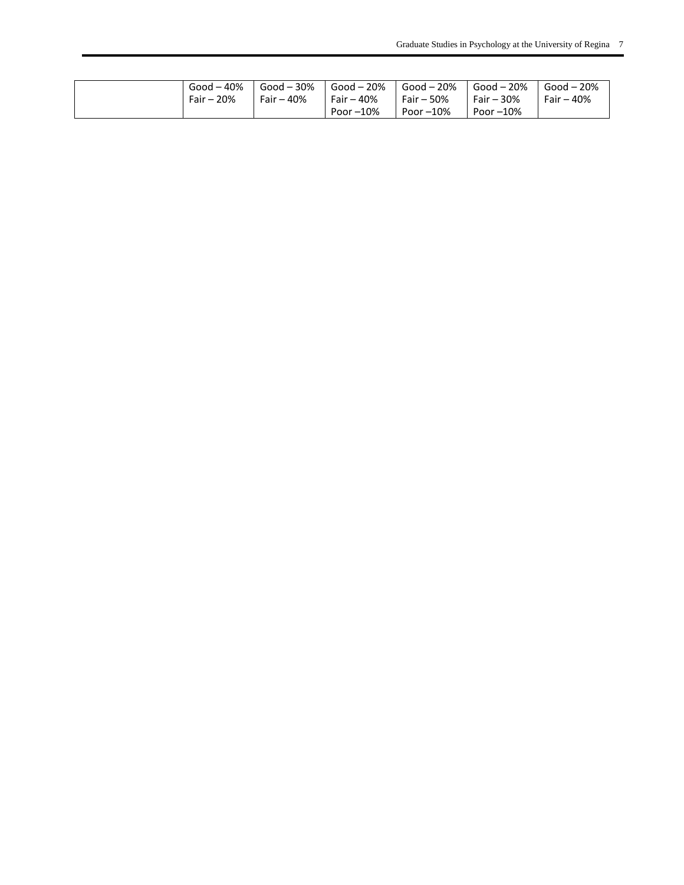| Good – 40% | $\sim$ Good $-30\%$ | Good $-20%$  |              | $\log 20\%$ Good - 20% Good - 20% Good - 20% |                 |
|------------|---------------------|--------------|--------------|----------------------------------------------|-----------------|
| Fair – 20% | Fair – 40%          | $Fair - 40%$ | $Fair - 50%$ | $I$ Fair - 30%                               | $I$ Fair $-40%$ |
|            |                     | Poor $-10\%$ | Poor –10%    | Poor $-10\%$                                 |                 |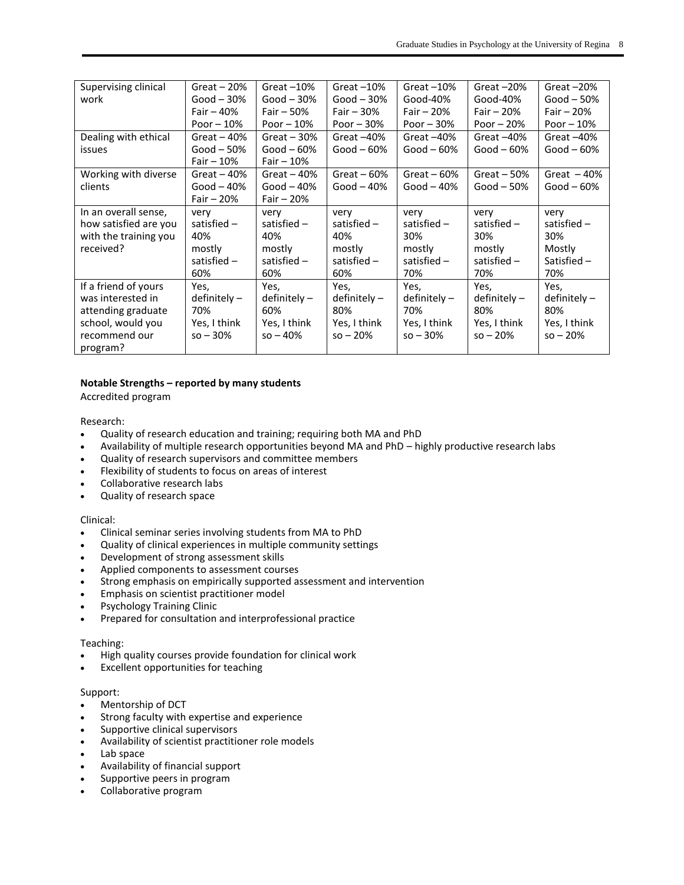| Supervising clinical<br>work                                                                                      | Great $-20%$<br>Good $-30\%$<br>Fair $-40%$<br>Poor $-10%$   | Great $-10%$<br>$Good - 30%$<br>Fair $-50%$<br>Poor $-10%$     | Great $-10%$<br>Good $-30%$<br>Fair $-30%$<br>Poor $-30%$      | Great $-10%$<br>Good-40%<br>Fair $-20%$<br>Poor $-30%$         | Great $-20%$<br>Good-40%<br>Fair $-20%$<br>Poor $-20%$         | Great $-20%$<br>Good $-50%$<br>Fair $-20%$<br>Poor $-10%$      |
|-------------------------------------------------------------------------------------------------------------------|--------------------------------------------------------------|----------------------------------------------------------------|----------------------------------------------------------------|----------------------------------------------------------------|----------------------------------------------------------------|----------------------------------------------------------------|
| Dealing with ethical<br><i>issues</i>                                                                             | Great $-40%$<br>Good $-50%$<br>Fair $-10%$                   | Great $-30%$<br>$Good - 60%$<br>Fair $-10%$                    | Great $-40%$<br>Good $-60%$                                    | Great $-40%$<br>Good $-60%$                                    | Great $-40%$<br>$Good - 60%$                                   | Great $-40%$<br>Good $-60%$                                    |
| Working with diverse<br>clients                                                                                   | Great $-40%$<br>Good $-40%$<br>Fair $-20%$                   | Great $-40%$<br>Good $-40%$<br>Fair $-20%$                     | Great $-60%$<br>Good $-40\%$                                   | Great $-60%$<br>Good $-40%$                                    | Great $-50%$<br>Good $-50\%$                                   | Great $-40%$<br>Good $-60\%$                                   |
| In an overall sense,<br>how satisfied are you<br>with the training you<br>received?                               | very<br>satisfied $-$<br>40%<br>mostly<br>satisfied -<br>60% | very<br>satisfied $-$<br>40%<br>mostly<br>satisfied $-$<br>60% | very<br>satisfied $-$<br>40%<br>mostly<br>satisfied $-$<br>60% | very<br>satisfied $-$<br>30%<br>mostly<br>satisfied $-$<br>70% | very<br>satisfied $-$<br>30%<br>mostly<br>satisfied $-$<br>70% | very<br>satisfied $-$<br>30%<br>Mostly<br>Satisfied $-$<br>70% |
| If a friend of yours<br>was interested in<br>attending graduate<br>school, would you<br>recommend our<br>program? | Yes,<br>$definitely -$<br>70%<br>Yes, I think<br>$so - 30%$  | Yes,<br>$definitely -$<br>60%<br>Yes, I think<br>$so - 40%$    | Yes,<br>$definitely -$<br>80%<br>Yes, I think<br>$so - 20%$    | Yes,<br>$definitely -$<br>70%<br>Yes, I think<br>$so - 30\%$   | Yes,<br>$definitely -$<br>80%<br>Yes, I think<br>$so - 20%$    | Yes,<br>$definitely -$<br>80%<br>Yes, I think<br>$so - 20%$    |

# **Notable Strengths – reported by many students**

Accredited program

Research:

- Quality of research education and training; requiring both MA and PhD
- Availability of multiple research opportunities beyond MA and PhD highly productive research labs
- Quality of research supervisors and committee members
- Flexibility of students to focus on areas of interest
- Collaborative research labs
- Quality of research space

#### Clinical:

- Clinical seminar series involving students from MA to PhD
- Quality of clinical experiences in multiple community settings
- Development of strong assessment skills
- Applied components to assessment courses
- Strong emphasis on empirically supported assessment and intervention
- Emphasis on scientist practitioner model
- Psychology Training Clinic
- Prepared for consultation and interprofessional practice

#### Teaching:

- High quality courses provide foundation for clinical work
- Excellent opportunities for teaching

#### Support:

- Mentorship of DCT
- Strong faculty with expertise and experience
- Supportive clinical supervisors
- Availability of scientist practitioner role models
- Lab space
- Availability of financial support
- Supportive peers in program
- Collaborative program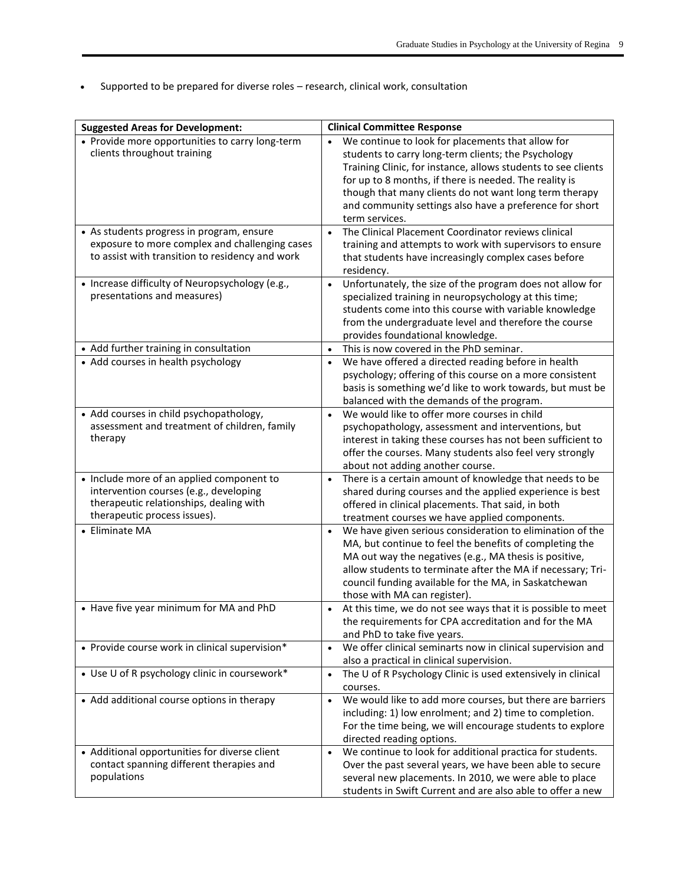Supported to be prepared for diverse roles – research, clinical work, consultation

| <b>Suggested Areas for Development:</b>                                                                                                                        | <b>Clinical Committee Response</b>                                                                                                                                                                                                                                                                                                                                         |
|----------------------------------------------------------------------------------------------------------------------------------------------------------------|----------------------------------------------------------------------------------------------------------------------------------------------------------------------------------------------------------------------------------------------------------------------------------------------------------------------------------------------------------------------------|
| • Provide more opportunities to carry long-term<br>clients throughout training                                                                                 | We continue to look for placements that allow for<br>students to carry long-term clients; the Psychology<br>Training Clinic, for instance, allows students to see clients<br>for up to 8 months, if there is needed. The reality is<br>though that many clients do not want long term therapy<br>and community settings also have a preference for short<br>term services. |
| • As students progress in program, ensure<br>exposure to more complex and challenging cases<br>to assist with transition to residency and work                 | The Clinical Placement Coordinator reviews clinical<br>$\bullet$<br>training and attempts to work with supervisors to ensure<br>that students have increasingly complex cases before<br>residency.                                                                                                                                                                         |
| • Increase difficulty of Neuropsychology (e.g.,<br>presentations and measures)                                                                                 | Unfortunately, the size of the program does not allow for<br>$\bullet$<br>specialized training in neuropsychology at this time;<br>students come into this course with variable knowledge<br>from the undergraduate level and therefore the course<br>provides foundational knowledge.                                                                                     |
| • Add further training in consultation                                                                                                                         | This is now covered in the PhD seminar.<br>$\bullet$                                                                                                                                                                                                                                                                                                                       |
| • Add courses in health psychology                                                                                                                             | We have offered a directed reading before in health<br>$\bullet$<br>psychology; offering of this course on a more consistent<br>basis is something we'd like to work towards, but must be<br>balanced with the demands of the program.                                                                                                                                     |
| • Add courses in child psychopathology,<br>assessment and treatment of children, family<br>therapy                                                             | We would like to offer more courses in child<br>$\bullet$<br>psychopathology, assessment and interventions, but<br>interest in taking these courses has not been sufficient to<br>offer the courses. Many students also feel very strongly<br>about not adding another course.                                                                                             |
| • Include more of an applied component to<br>intervention courses (e.g., developing<br>therapeutic relationships, dealing with<br>therapeutic process issues). | There is a certain amount of knowledge that needs to be<br>$\bullet$<br>shared during courses and the applied experience is best<br>offered in clinical placements. That said, in both<br>treatment courses we have applied components.                                                                                                                                    |
| • Eliminate MA                                                                                                                                                 | We have given serious consideration to elimination of the<br>MA, but continue to feel the benefits of completing the<br>MA out way the negatives (e.g., MA thesis is positive,<br>allow students to terminate after the MA if necessary; Tri-<br>council funding available for the MA, in Saskatchewan<br>those with MA can register).                                     |
| • Have five year minimum for MA and PhD                                                                                                                        | At this time, we do not see ways that it is possible to meet<br>the requirements for CPA accreditation and for the MA<br>and PhD to take five years.                                                                                                                                                                                                                       |
| • Provide course work in clinical supervision*                                                                                                                 | We offer clinical seminarts now in clinical supervision and<br>$\bullet$<br>also a practical in clinical supervision.                                                                                                                                                                                                                                                      |
| • Use U of R psychology clinic in coursework*                                                                                                                  | The U of R Psychology Clinic is used extensively in clinical<br>$\bullet$<br>courses.                                                                                                                                                                                                                                                                                      |
| • Add additional course options in therapy                                                                                                                     | We would like to add more courses, but there are barriers<br>$\bullet$<br>including: 1) low enrolment; and 2) time to completion.<br>For the time being, we will encourage students to explore<br>directed reading options.                                                                                                                                                |
| • Additional opportunities for diverse client<br>contact spanning different therapies and<br>populations                                                       | We continue to look for additional practica for students.<br>$\bullet$<br>Over the past several years, we have been able to secure<br>several new placements. In 2010, we were able to place<br>students in Swift Current and are also able to offer a new                                                                                                                 |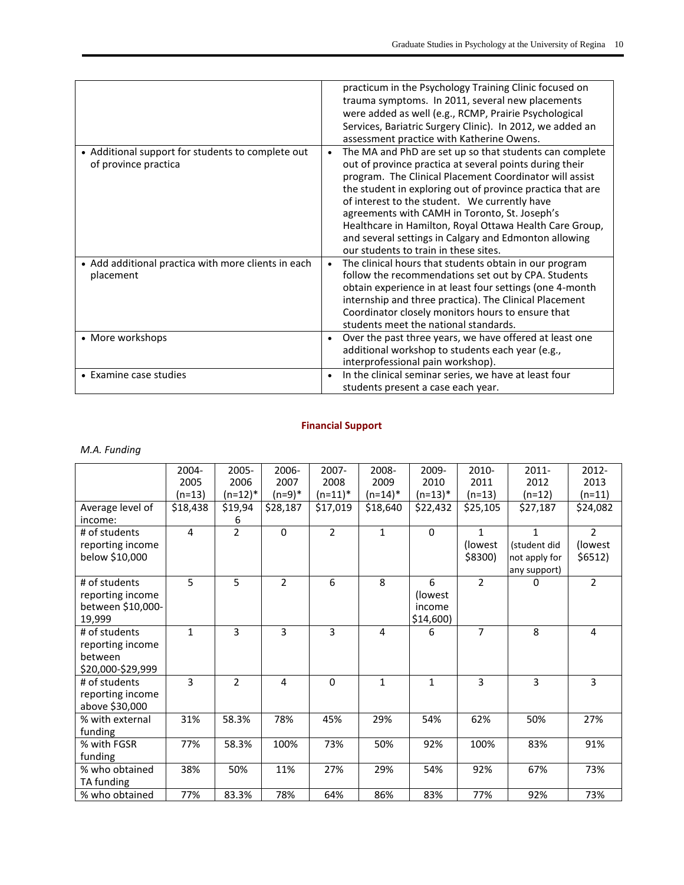|                                                                           | practicum in the Psychology Training Clinic focused on                                                                                                                                                                                                                                                                                                                                                                                                                                                                  |
|---------------------------------------------------------------------------|-------------------------------------------------------------------------------------------------------------------------------------------------------------------------------------------------------------------------------------------------------------------------------------------------------------------------------------------------------------------------------------------------------------------------------------------------------------------------------------------------------------------------|
|                                                                           | trauma symptoms. In 2011, several new placements                                                                                                                                                                                                                                                                                                                                                                                                                                                                        |
|                                                                           | were added as well (e.g., RCMP, Prairie Psychological                                                                                                                                                                                                                                                                                                                                                                                                                                                                   |
|                                                                           | Services, Bariatric Surgery Clinic). In 2012, we added an                                                                                                                                                                                                                                                                                                                                                                                                                                                               |
|                                                                           | assessment practice with Katherine Owens.                                                                                                                                                                                                                                                                                                                                                                                                                                                                               |
| • Additional support for students to complete out<br>of province practica | The MA and PhD are set up so that students can complete<br>$\bullet$<br>out of province practica at several points during their<br>program. The Clinical Placement Coordinator will assist<br>the student in exploring out of province practica that are<br>of interest to the student. We currently have<br>agreements with CAMH in Toronto, St. Joseph's<br>Healthcare in Hamilton, Royal Ottawa Health Care Group,<br>and several settings in Calgary and Edmonton allowing<br>our students to train in these sites. |
| • Add additional practica with more clients in each<br>placement          | The clinical hours that students obtain in our program<br>$\bullet$<br>follow the recommendations set out by CPA. Students<br>obtain experience in at least four settings (one 4-month<br>internship and three practica). The Clinical Placement<br>Coordinator closely monitors hours to ensure that<br>students meet the national standards.                                                                                                                                                                          |
| • More workshops                                                          | Over the past three years, we have offered at least one<br>$\bullet$<br>additional workshop to students each year (e.g.,<br>interprofessional pain workshop).                                                                                                                                                                                                                                                                                                                                                           |
| • Examine case studies                                                    | In the clinical seminar series, we have at least four<br>$\bullet$<br>students present a case each year.                                                                                                                                                                                                                                                                                                                                                                                                                |

# **Financial Support**

# *M.A. Funding*

|                   | 2004-        | 2005-          | 2006-          | 2007-          | 2008-        | 2009-       | 2010-          | 2011-                | 2012-          |
|-------------------|--------------|----------------|----------------|----------------|--------------|-------------|----------------|----------------------|----------------|
|                   | 2005         | 2006           | 2007           | 2008           | 2009         | 2010        | 2011           | 2012                 | 2013           |
|                   | $(n=13)$     | (n=12)*        | $(n=9)*$       | $(n=11)^*$     | $(n=14)^*$   | $(n=13)^*$  | $(n=13)$       | $(n=12)$             | $(n=11)$       |
| Average level of  | \$18,438     | \$19,94        | \$28,187       | \$17,019       | \$18,640     | \$22,432    | \$25,105       | $\overline{$}27,187$ | \$24,082       |
| income:           |              | 6              |                |                |              |             |                |                      |                |
| # of students     | 4            | $\overline{2}$ | $\mathbf 0$    | $\overline{2}$ | $\mathbf{1}$ | $\Omega$    | $\mathbf{1}$   | $\mathbf{1}$         | $\overline{2}$ |
| reporting income  |              |                |                |                |              |             | (lowest)       | (student did         | (lowest)       |
| below \$10,000    |              |                |                |                |              |             | \$8300)        | not apply for        | \$6512)        |
|                   |              |                |                |                |              |             |                | any support)         |                |
| # of students     | 5            | 5              | $\overline{2}$ | 6              | 8            | 6           | $\overline{2}$ | 0                    | $\overline{2}$ |
| reporting income  |              |                |                |                |              | (lowest)    |                |                      |                |
| between \$10,000- |              |                |                |                |              | income      |                |                      |                |
| 19,999            |              |                |                |                |              | $$14,600$ ) |                |                      |                |
| # of students     | $\mathbf{1}$ | 3              | $\overline{3}$ | 3              | 4            | 6           | $\overline{7}$ | 8                    | 4              |
| reporting income  |              |                |                |                |              |             |                |                      |                |
| between           |              |                |                |                |              |             |                |                      |                |
| \$20,000-\$29,999 |              |                |                |                |              |             |                |                      |                |
| # of students     | 3            | $\overline{2}$ | 4              | 0              | $\mathbf{1}$ | 1           | 3              | 3                    | 3              |
| reporting income  |              |                |                |                |              |             |                |                      |                |
| above \$30,000    |              |                |                |                |              |             |                |                      |                |
| % with external   | 31%          | 58.3%          | 78%            | 45%            | 29%          | 54%         | 62%            | 50%                  | 27%            |
| funding           |              |                |                |                |              |             |                |                      |                |
| % with FGSR       | 77%          | 58.3%          | 100%           | 73%            | 50%          | 92%         | 100%           | 83%                  | 91%            |
| funding           |              |                |                |                |              |             |                |                      |                |
| % who obtained    | 38%          | 50%            | 11%            | 27%            | 29%          | 54%         | 92%            | 67%                  | 73%            |
| TA funding        |              |                |                |                |              |             |                |                      |                |
| % who obtained    | 77%          | 83.3%          | 78%            | 64%            | 86%          | 83%         | 77%            | 92%                  | 73%            |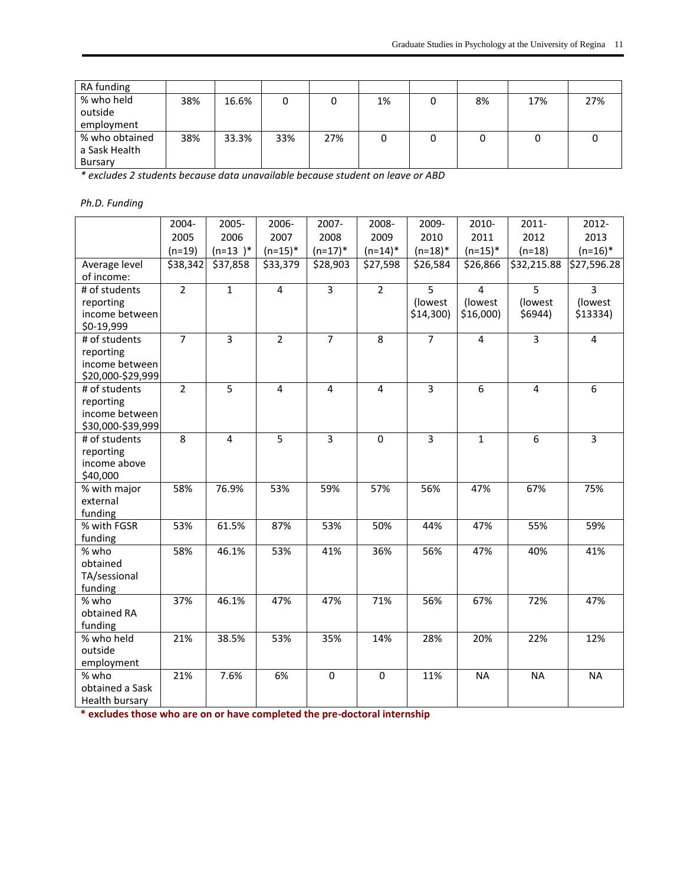| RA funding     |     |       |     |     |    |    |     |     |
|----------------|-----|-------|-----|-----|----|----|-----|-----|
| % who held     | 38% | 16.6% | 0   |     | 1% | 8% | 17% | 27% |
| outside        |     |       |     |     |    |    |     |     |
| employment     |     |       |     |     |    |    |     |     |
| % who obtained | 38% | 33.3% | 33% | 27% |    |    |     |     |
| a Sask Health  |     |       |     |     |    |    |     |     |
| Bursary        |     |       |     |     |    |    |     |     |

*\* excludes 2 students because data unavailable because student on leave or ABD*

# *Ph.D. Funding*

|                             | 2004-          | 2005-          | 2006-          | 2007-          | 2008-          | 2009-          | 2010-          | 2011-          | 2012-          |
|-----------------------------|----------------|----------------|----------------|----------------|----------------|----------------|----------------|----------------|----------------|
|                             | 2005           | 2006           | 2007           | 2008           | 2009           | 2010           | 2011           | 2012           | 2013           |
|                             | $(n=19)$       | $(n=13)^*$     | $(n=15)^*$     | $(n=17)^*$     | $(n=14)^*$     | $(n=18)^*$     | $(n=15)^*$     | $(n=18)$       | $(n=16)^*$     |
| Average level               | \$38,342       | \$37,858       | \$33,379       | \$28,903       | \$27,598       | \$26,584       | \$26,866       | \$32,215.88    | \$27,596.28    |
| of income:                  |                |                |                |                |                |                |                |                |                |
| # of students               | $\overline{2}$ | $\mathbf{1}$   | $\overline{4}$ | $\overline{3}$ | $\overline{2}$ | $\overline{5}$ | $\overline{4}$ | $\overline{5}$ | $\overline{3}$ |
| reporting                   |                |                |                |                |                | (lowest        | (lowest        | (lowest        | (lowest        |
| income between              |                |                |                |                |                | \$14,300)      | $$16,000$ )    | \$6944)        | \$13334)       |
| \$0-19,999                  |                |                |                |                |                |                |                |                |                |
| # of students               | $\overline{7}$ | $\overline{3}$ | $\overline{2}$ | $\overline{7}$ | 8              | $\overline{7}$ | $\overline{4}$ | $\overline{3}$ | $\overline{4}$ |
| reporting                   |                |                |                |                |                |                |                |                |                |
| income between              |                |                |                |                |                |                |                |                |                |
| \$20,000-\$29,999           |                |                |                |                |                |                |                |                |                |
| # of students               | $\overline{2}$ | $\overline{5}$ | 4              | $\overline{4}$ | $\overline{4}$ | $\overline{3}$ | $\overline{6}$ | $\overline{4}$ | $6\,$          |
| reporting<br>income between |                |                |                |                |                |                |                |                |                |
| \$30,000-\$39,999           |                |                |                |                |                |                |                |                |                |
| # of students               | 8              | 4              | 5              | $\overline{3}$ | $\Omega$       | $\overline{3}$ | $\mathbf{1}$   | 6              | $\overline{3}$ |
| reporting                   |                |                |                |                |                |                |                |                |                |
| income above                |                |                |                |                |                |                |                |                |                |
| \$40,000                    |                |                |                |                |                |                |                |                |                |
| % with major                | 58%            | 76.9%          | 53%            | 59%            | 57%            | 56%            | 47%            | 67%            | 75%            |
| external                    |                |                |                |                |                |                |                |                |                |
| funding                     |                |                |                |                |                |                |                |                |                |
| % with FGSR                 | 53%            | 61.5%          | 87%            | 53%            | 50%            | 44%            | 47%            | 55%            | 59%            |
| funding                     |                |                |                |                |                |                |                |                |                |
| % who                       | 58%            | 46.1%          | 53%            | 41%            | 36%            | 56%            | 47%            | 40%            | 41%            |
| obtained                    |                |                |                |                |                |                |                |                |                |
| TA/sessional                |                |                |                |                |                |                |                |                |                |
| funding                     |                |                |                |                |                |                |                |                |                |
| % who                       | 37%            | 46.1%          | 47%            | 47%            | 71%            | 56%            | 67%            | 72%            | 47%            |
| obtained RA                 |                |                |                |                |                |                |                |                |                |
| funding                     |                |                |                |                |                |                |                |                |                |
| % who held                  | 21%            | 38.5%          | 53%            | 35%            | 14%            | 28%            | 20%            | 22%            | 12%            |
| outside                     |                |                |                |                |                |                |                |                |                |
| employment                  |                |                |                |                |                |                |                |                |                |
| % who<br>obtained a Sask    | 21%            | 7.6%           | 6%             | $\mathbf 0$    | 0              | 11%            | <b>NA</b>      | <b>NA</b>      | <b>NA</b>      |
|                             |                |                |                |                |                |                |                |                |                |
| Health bursary              |                |                |                |                |                |                |                |                |                |

**\* excludes those who are on or have completed the pre-doctoral internship**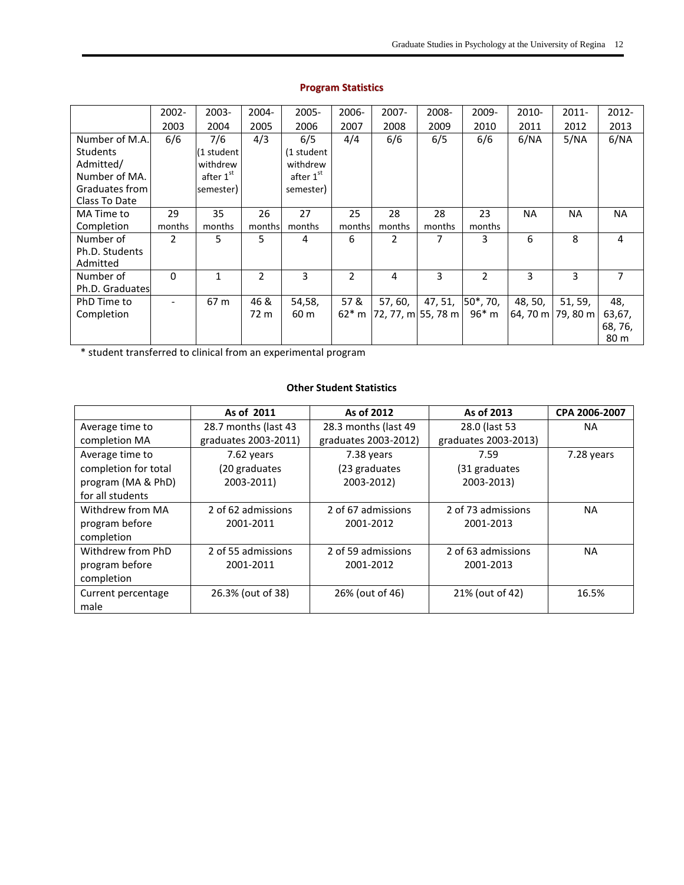|                 | $2002 -$                     | $2003 -$              | 2004-          | $2005 -$   | 2006-   | $2007 -$           | 2008-            | 2009-  | $2010 -$          | $2011 -$  | 2012-     |
|-----------------|------------------------------|-----------------------|----------------|------------|---------|--------------------|------------------|--------|-------------------|-----------|-----------|
|                 | 2003                         | 2004                  | 2005           | 2006       | 2007    | 2008               | 2009             | 2010   | 2011              | 2012      | 2013      |
| Number of M.A.  | 6/6                          | 7/6                   | 4/3            | 6/5        | 4/4     | 6/6                | 6/5              | 6/6    | 6/NA              | 5/NA      | 6/NA      |
| <b>Students</b> |                              | (1 student            |                | (1 student |         |                    |                  |        |                   |           |           |
| Admitted/       |                              | withdrew              |                | withdrew   |         |                    |                  |        |                   |           |           |
| Number of MA.   |                              | after 1 <sup>st</sup> |                | after 1st  |         |                    |                  |        |                   |           |           |
| Graduates from  |                              | semester)             |                | semester)  |         |                    |                  |        |                   |           |           |
| Class To Date   |                              |                       |                |            |         |                    |                  |        |                   |           |           |
| MA Time to      | 29                           | 35                    | 26             | 27         | 25      | 28                 | 28               | 23     | <b>NA</b>         | <b>NA</b> | <b>NA</b> |
| Completion      | months                       | months                | months         | months     | months  | months             | months           | months |                   |           |           |
| Number of       | $\overline{2}$               | 5                     | 5              | 4          | 6       | 2                  | 7                | 3      | 6                 | 8         | 4         |
| Ph.D. Students  |                              |                       |                |            |         |                    |                  |        |                   |           |           |
| Admitted        |                              |                       |                |            |         |                    |                  |        |                   |           |           |
| Number of       | $\Omega$                     | $\mathbf{1}$          | $\overline{2}$ | 3          | 2       | 4                  | 3                | 2      | 3                 | 3         | 7         |
| Ph.D. Graduates |                              |                       |                |            |         |                    |                  |        |                   |           |           |
| PhD Time to     | $\qquad \qquad \blacksquare$ | 67 m                  | 46 &           | 54,58,     | 57&     | 57, 60,            | 47, 51, 50*, 70, |        | 48, 50,           | 51, 59,   | 48,       |
| Completion      |                              |                       | 72 m           | 60 m       | $62*$ m | 72, 77, m 55, 78 m |                  | 96* m  | 64, 70 m 79, 80 m |           | 63,67,    |
|                 |                              |                       |                |            |         |                    |                  |        |                   |           | 68, 76,   |
|                 |                              |                       |                |            |         |                    |                  |        |                   |           | 80 m      |

# **Program Statistics**

\* student transferred to clinical from an experimental program

## **Other Student Statistics**

|                      | As of 2011           | As of 2012           | As of 2013           | CPA 2006-2007 |
|----------------------|----------------------|----------------------|----------------------|---------------|
| Average time to      | 28.7 months (last 43 | 28.3 months (last 49 | 28.0 (last 53        | NA            |
| completion MA        | graduates 2003-2011) | graduates 2003-2012) | graduates 2003-2013) |               |
| Average time to      | 7.62 years           | 7.38 years           | 7.59                 | 7.28 years    |
| completion for total | (20 graduates        | (23 graduates        | (31 graduates        |               |
| program (MA & PhD)   | 2003-2011)           | 2003-2012)           | 2003-2013)           |               |
| for all students     |                      |                      |                      |               |
| Withdrew from MA     | 2 of 62 admissions   | 2 of 67 admissions   | 2 of 73 admissions   | NA            |
| program before       | 2001-2011            | 2001-2012            | 2001-2013            |               |
| completion           |                      |                      |                      |               |
| Withdrew from PhD    | 2 of 55 admissions   | 2 of 59 admissions   | 2 of 63 admissions   | <b>NA</b>     |
| program before       | 2001-2011            | 2001-2012            | 2001-2013            |               |
| completion           |                      |                      |                      |               |
| Current percentage   | 26.3% (out of 38)    | 26% (out of 46)      | 21% (out of 42)      | 16.5%         |
| male                 |                      |                      |                      |               |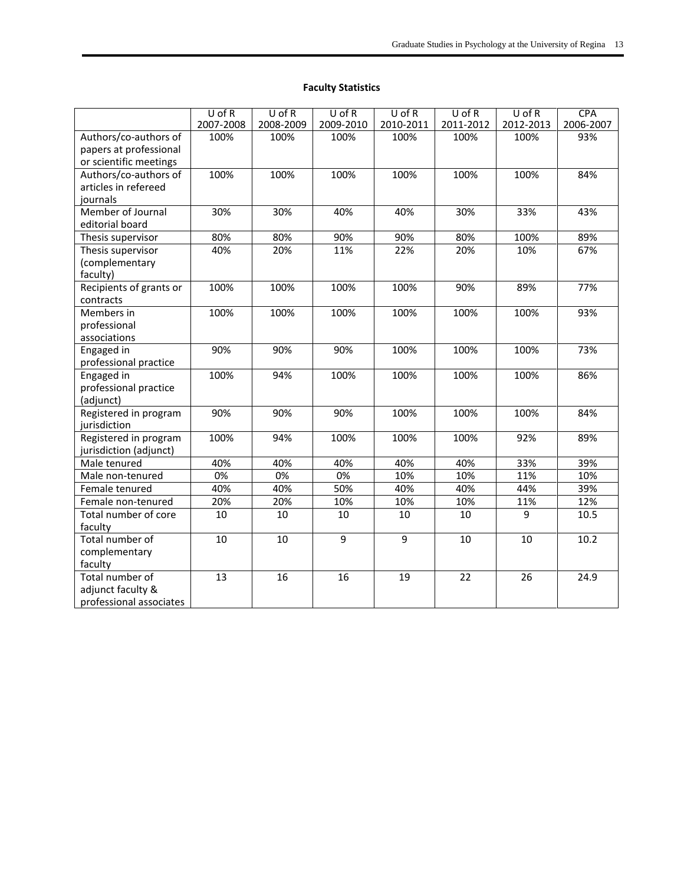# **Faculty Statistics**

|                         | $U$ of R         | $U$ of R  | $U$ of R       | $U$ of R       | $U$ of R  | $U$ of R  | <b>CPA</b> |
|-------------------------|------------------|-----------|----------------|----------------|-----------|-----------|------------|
|                         | 2007-2008        | 2008-2009 | 2009-2010      | 2010-2011      | 2011-2012 | 2012-2013 | 2006-2007  |
| Authors/co-authors of   | 100%             | 100%      | 100%           | 100%           | 100%      | 100%      | 93%        |
| papers at professional  |                  |           |                |                |           |           |            |
| or scientific meetings  |                  |           |                |                |           |           |            |
| Authors/co-authors of   | 100%             | 100%      | 100%           | 100%           | 100%      | 100%      | 84%        |
| articles in refereed    |                  |           |                |                |           |           |            |
| journals                |                  |           |                |                |           |           |            |
| Member of Journal       | 30%              | 30%       | 40%            | 40%            | 30%       | 33%       | 43%        |
| editorial board         |                  |           |                |                |           |           |            |
| Thesis supervisor       | 80%              | 80%       | 90%            | 90%            | 80%       | 100%      | 89%        |
| Thesis supervisor       | 40%              | 20%       | 11%            | 22%            | 20%       | 10%       | 67%        |
| (complementary          |                  |           |                |                |           |           |            |
| faculty)                |                  |           |                |                |           |           |            |
| Recipients of grants or | 100%             | 100%      | 100%           | 100%           | 90%       | 89%       | 77%        |
| contracts               |                  |           |                |                |           |           |            |
| Members in              | 100%             | 100%      | 100%           | 100%           | 100%      | 100%      | 93%        |
| professional            |                  |           |                |                |           |           |            |
| associations            |                  |           |                |                |           |           |            |
| Engaged in              | 90%              | 90%       | 90%            | 100%           | 100%      | 100%      | 73%        |
| professional practice   |                  |           |                |                |           |           |            |
| Engaged in              | 100%             | 94%       | 100%           | 100%           | 100%      | 100%      | 86%        |
| professional practice   |                  |           |                |                |           |           |            |
| (adjunct)               |                  |           |                |                |           |           |            |
| Registered in program   | 90%              | 90%       | 90%            | 100%           | 100%      | 100%      | 84%        |
| jurisdiction            |                  |           |                |                |           |           |            |
| Registered in program   | 100%             | 94%       | 100%           | 100%           | 100%      | 92%       | 89%        |
| jurisdiction (adjunct)  |                  |           |                |                |           |           |            |
| Male tenured            | 40%              | 40%       | 40%            | 40%            | 40%       | 33%       | 39%        |
| Male non-tenured        | $\overline{0\%}$ | 0%        | 0%             | 10%            | 10%       | 11%       | 10%        |
| Female tenured          | 40%              | 40%       | 50%            | 40%            | 40%       | 44%       | 39%        |
| Female non-tenured      | 20%              | 20%       | 10%            | 10%            | 10%       | 11%       | 12%        |
| Total number of core    | 10               | 10        | 10             | 10             | 10        | 9         | 10.5       |
| faculty                 |                  |           |                |                |           |           |            |
| Total number of         | 10               | 10        | $\overline{9}$ | $\overline{9}$ | 10        | 10        | 10.2       |
| complementary           |                  |           |                |                |           |           |            |
| faculty                 |                  |           |                |                |           |           |            |
| Total number of         | 13               | 16        | 16             | 19             | 22        | 26        | 24.9       |
| adjunct faculty &       |                  |           |                |                |           |           |            |
| professional associates |                  |           |                |                |           |           |            |